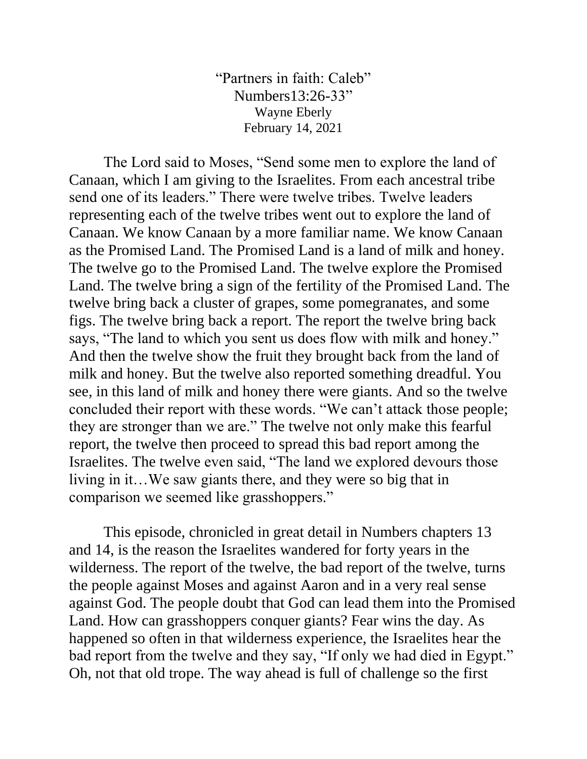"Partners in faith: Caleb" Numbers13:26-33" Wayne Eberly February 14, 2021

The Lord said to Moses, "Send some men to explore the land of Canaan, which I am giving to the Israelites. From each ancestral tribe send one of its leaders." There were twelve tribes. Twelve leaders representing each of the twelve tribes went out to explore the land of Canaan. We know Canaan by a more familiar name. We know Canaan as the Promised Land. The Promised Land is a land of milk and honey. The twelve go to the Promised Land. The twelve explore the Promised Land. The twelve bring a sign of the fertility of the Promised Land. The twelve bring back a cluster of grapes, some pomegranates, and some figs. The twelve bring back a report. The report the twelve bring back says, "The land to which you sent us does flow with milk and honey." And then the twelve show the fruit they brought back from the land of milk and honey. But the twelve also reported something dreadful. You see, in this land of milk and honey there were giants. And so the twelve concluded their report with these words. "We can't attack those people; they are stronger than we are." The twelve not only make this fearful report, the twelve then proceed to spread this bad report among the Israelites. The twelve even said, "The land we explored devours those living in it…We saw giants there, and they were so big that in comparison we seemed like grasshoppers."

This episode, chronicled in great detail in Numbers chapters 13 and 14, is the reason the Israelites wandered for forty years in the wilderness. The report of the twelve, the bad report of the twelve, turns the people against Moses and against Aaron and in a very real sense against God. The people doubt that God can lead them into the Promised Land. How can grasshoppers conquer giants? Fear wins the day. As happened so often in that wilderness experience, the Israelites hear the bad report from the twelve and they say, "If only we had died in Egypt." Oh, not that old trope. The way ahead is full of challenge so the first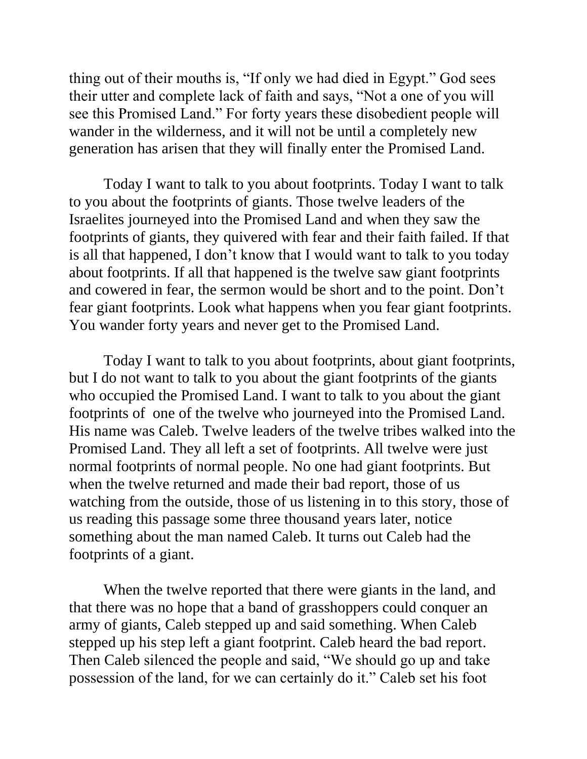thing out of their mouths is, "If only we had died in Egypt." God sees their utter and complete lack of faith and says, "Not a one of you will see this Promised Land." For forty years these disobedient people will wander in the wilderness, and it will not be until a completely new generation has arisen that they will finally enter the Promised Land.

Today I want to talk to you about footprints. Today I want to talk to you about the footprints of giants. Those twelve leaders of the Israelites journeyed into the Promised Land and when they saw the footprints of giants, they quivered with fear and their faith failed. If that is all that happened, I don't know that I would want to talk to you today about footprints. If all that happened is the twelve saw giant footprints and cowered in fear, the sermon would be short and to the point. Don't fear giant footprints. Look what happens when you fear giant footprints. You wander forty years and never get to the Promised Land.

Today I want to talk to you about footprints, about giant footprints, but I do not want to talk to you about the giant footprints of the giants who occupied the Promised Land. I want to talk to you about the giant footprints of one of the twelve who journeyed into the Promised Land. His name was Caleb. Twelve leaders of the twelve tribes walked into the Promised Land. They all left a set of footprints. All twelve were just normal footprints of normal people. No one had giant footprints. But when the twelve returned and made their bad report, those of us watching from the outside, those of us listening in to this story, those of us reading this passage some three thousand years later, notice something about the man named Caleb. It turns out Caleb had the footprints of a giant.

When the twelve reported that there were giants in the land, and that there was no hope that a band of grasshoppers could conquer an army of giants, Caleb stepped up and said something. When Caleb stepped up his step left a giant footprint. Caleb heard the bad report. Then Caleb silenced the people and said, "We should go up and take possession of the land, for we can certainly do it." Caleb set his foot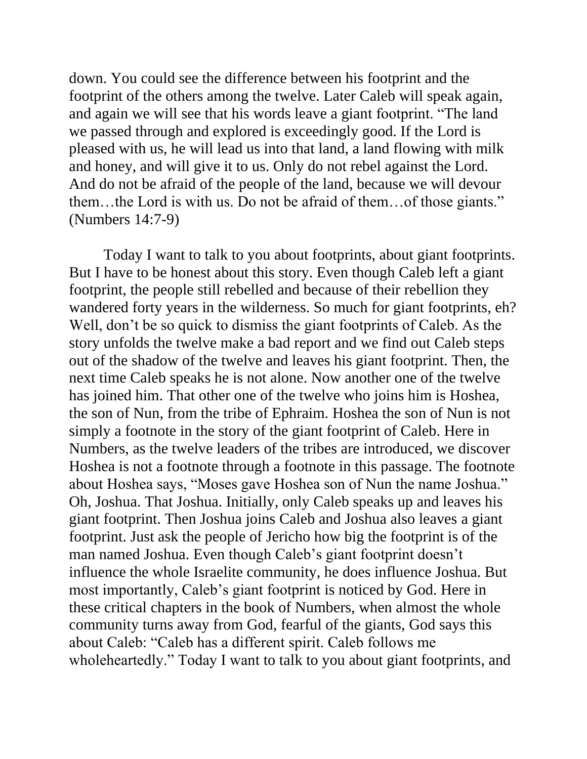down. You could see the difference between his footprint and the footprint of the others among the twelve. Later Caleb will speak again, and again we will see that his words leave a giant footprint. "The land we passed through and explored is exceedingly good. If the Lord is pleased with us, he will lead us into that land, a land flowing with milk and honey, and will give it to us. Only do not rebel against the Lord. And do not be afraid of the people of the land, because we will devour them…the Lord is with us. Do not be afraid of them…of those giants." (Numbers 14:7-9)

Today I want to talk to you about footprints, about giant footprints. But I have to be honest about this story. Even though Caleb left a giant footprint, the people still rebelled and because of their rebellion they wandered forty years in the wilderness. So much for giant footprints, eh? Well, don't be so quick to dismiss the giant footprints of Caleb. As the story unfolds the twelve make a bad report and we find out Caleb steps out of the shadow of the twelve and leaves his giant footprint. Then, the next time Caleb speaks he is not alone. Now another one of the twelve has joined him. That other one of the twelve who joins him is Hoshea, the son of Nun, from the tribe of Ephraim. Hoshea the son of Nun is not simply a footnote in the story of the giant footprint of Caleb. Here in Numbers, as the twelve leaders of the tribes are introduced, we discover Hoshea is not a footnote through a footnote in this passage. The footnote about Hoshea says, "Moses gave Hoshea son of Nun the name Joshua." Oh, Joshua. That Joshua. Initially, only Caleb speaks up and leaves his giant footprint. Then Joshua joins Caleb and Joshua also leaves a giant footprint. Just ask the people of Jericho how big the footprint is of the man named Joshua. Even though Caleb's giant footprint doesn't influence the whole Israelite community, he does influence Joshua. But most importantly, Caleb's giant footprint is noticed by God. Here in these critical chapters in the book of Numbers, when almost the whole community turns away from God, fearful of the giants, God says this about Caleb: "Caleb has a different spirit. Caleb follows me wholeheartedly." Today I want to talk to you about giant footprints, and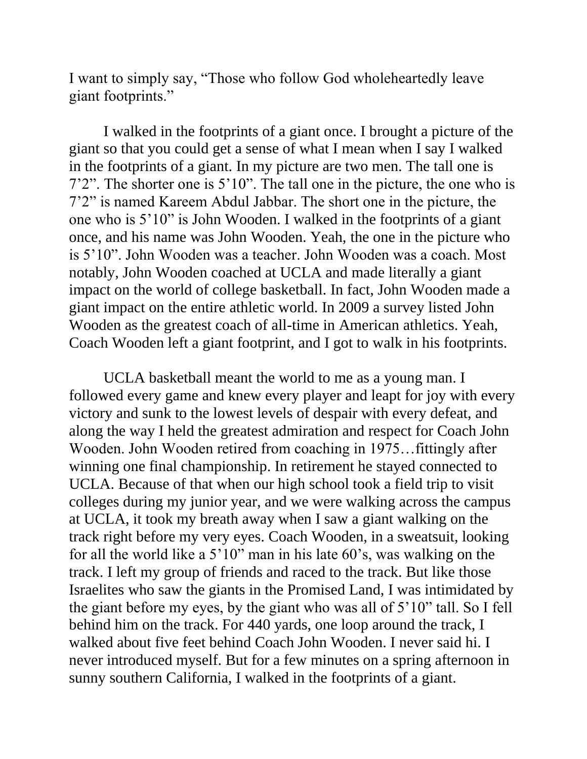I want to simply say, "Those who follow God wholeheartedly leave giant footprints."

I walked in the footprints of a giant once. I brought a picture of the giant so that you could get a sense of what I mean when I say I walked in the footprints of a giant. In my picture are two men. The tall one is 7'2". The shorter one is 5'10". The tall one in the picture, the one who is 7'2" is named Kareem Abdul Jabbar. The short one in the picture, the one who is 5'10" is John Wooden. I walked in the footprints of a giant once, and his name was John Wooden. Yeah, the one in the picture who is 5'10". John Wooden was a teacher. John Wooden was a coach. Most notably, John Wooden coached at UCLA and made literally a giant impact on the world of college basketball. In fact, John Wooden made a giant impact on the entire athletic world. In 2009 a survey listed John Wooden as the greatest coach of all-time in American athletics. Yeah, Coach Wooden left a giant footprint, and I got to walk in his footprints.

UCLA basketball meant the world to me as a young man. I followed every game and knew every player and leapt for joy with every victory and sunk to the lowest levels of despair with every defeat, and along the way I held the greatest admiration and respect for Coach John Wooden. John Wooden retired from coaching in 1975…fittingly after winning one final championship. In retirement he stayed connected to UCLA. Because of that when our high school took a field trip to visit colleges during my junior year, and we were walking across the campus at UCLA, it took my breath away when I saw a giant walking on the track right before my very eyes. Coach Wooden, in a sweatsuit, looking for all the world like a 5'10" man in his late 60's, was walking on the track. I left my group of friends and raced to the track. But like those Israelites who saw the giants in the Promised Land, I was intimidated by the giant before my eyes, by the giant who was all of 5'10" tall. So I fell behind him on the track. For 440 yards, one loop around the track, I walked about five feet behind Coach John Wooden. I never said hi. I never introduced myself. But for a few minutes on a spring afternoon in sunny southern California, I walked in the footprints of a giant.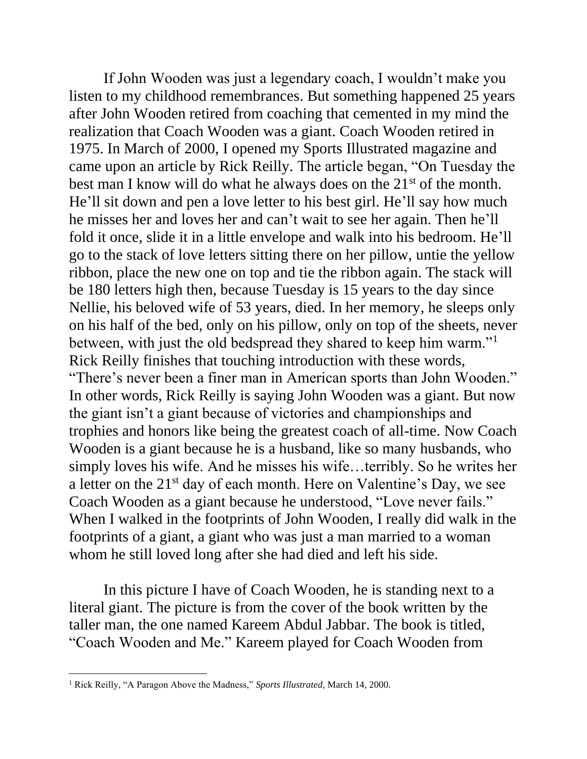If John Wooden was just a legendary coach, I wouldn't make you listen to my childhood remembrances. But something happened 25 years after John Wooden retired from coaching that cemented in my mind the realization that Coach Wooden was a giant. Coach Wooden retired in 1975. In March of 2000, I opened my Sports Illustrated magazine and came upon an article by Rick Reilly. The article began, "On Tuesday the best man I know will do what he always does on the 21<sup>st</sup> of the month. He'll sit down and pen a love letter to his best girl. He'll say how much he misses her and loves her and can't wait to see her again. Then he'll fold it once, slide it in a little envelope and walk into his bedroom. He'll go to the stack of love letters sitting there on her pillow, untie the yellow ribbon, place the new one on top and tie the ribbon again. The stack will be 180 letters high then, because Tuesday is 15 years to the day since Nellie, his beloved wife of 53 years, died. In her memory, he sleeps only on his half of the bed, only on his pillow, only on top of the sheets, never between, with just the old bedspread they shared to keep him warm."<sup>1</sup> Rick Reilly finishes that touching introduction with these words, "There's never been a finer man in American sports than John Wooden." In other words, Rick Reilly is saying John Wooden was a giant. But now the giant isn't a giant because of victories and championships and trophies and honors like being the greatest coach of all-time. Now Coach Wooden is a giant because he is a husband, like so many husbands, who simply loves his wife. And he misses his wife…terribly. So he writes her a letter on the  $21<sup>st</sup>$  day of each month. Here on Valentine's Day, we see Coach Wooden as a giant because he understood, "Love never fails." When I walked in the footprints of John Wooden, I really did walk in the footprints of a giant, a giant who was just a man married to a woman whom he still loved long after she had died and left his side.

In this picture I have of Coach Wooden, he is standing next to a literal giant. The picture is from the cover of the book written by the taller man, the one named Kareem Abdul Jabbar. The book is titled, "Coach Wooden and Me." Kareem played for Coach Wooden from

<sup>1</sup> Rick Reilly, "A Paragon Above the Madness," *Sports Illustrated*, March 14, 2000.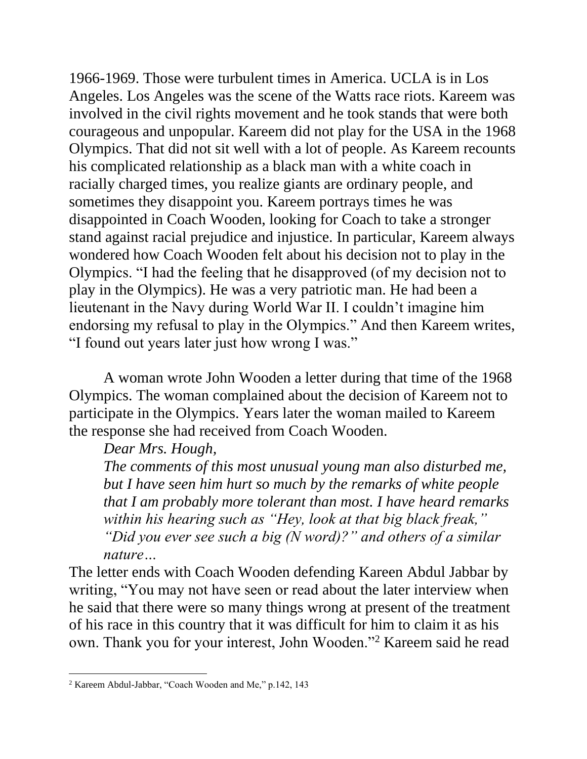1966-1969. Those were turbulent times in America. UCLA is in Los Angeles. Los Angeles was the scene of the Watts race riots. Kareem was involved in the civil rights movement and he took stands that were both courageous and unpopular. Kareem did not play for the USA in the 1968 Olympics. That did not sit well with a lot of people. As Kareem recounts his complicated relationship as a black man with a white coach in racially charged times, you realize giants are ordinary people, and sometimes they disappoint you. Kareem portrays times he was disappointed in Coach Wooden, looking for Coach to take a stronger stand against racial prejudice and injustice. In particular, Kareem always wondered how Coach Wooden felt about his decision not to play in the Olympics. "I had the feeling that he disapproved (of my decision not to play in the Olympics). He was a very patriotic man. He had been a lieutenant in the Navy during World War II. I couldn't imagine him endorsing my refusal to play in the Olympics." And then Kareem writes, "I found out years later just how wrong I was."

A woman wrote John Wooden a letter during that time of the 1968 Olympics. The woman complained about the decision of Kareem not to participate in the Olympics. Years later the woman mailed to Kareem the response she had received from Coach Wooden.

*Dear Mrs. Hough,*

*The comments of this most unusual young man also disturbed me, but I have seen him hurt so much by the remarks of white people that I am probably more tolerant than most. I have heard remarks within his hearing such as "Hey, look at that big black freak," "Did you ever see such a big (N word)?" and others of a similar nature…*

The letter ends with Coach Wooden defending Kareen Abdul Jabbar by writing, "You may not have seen or read about the later interview when he said that there were so many things wrong at present of the treatment of his race in this country that it was difficult for him to claim it as his own. Thank you for your interest, John Wooden."<sup>2</sup> Kareem said he read

<sup>2</sup> Kareem Abdul-Jabbar, "Coach Wooden and Me," p.142, 143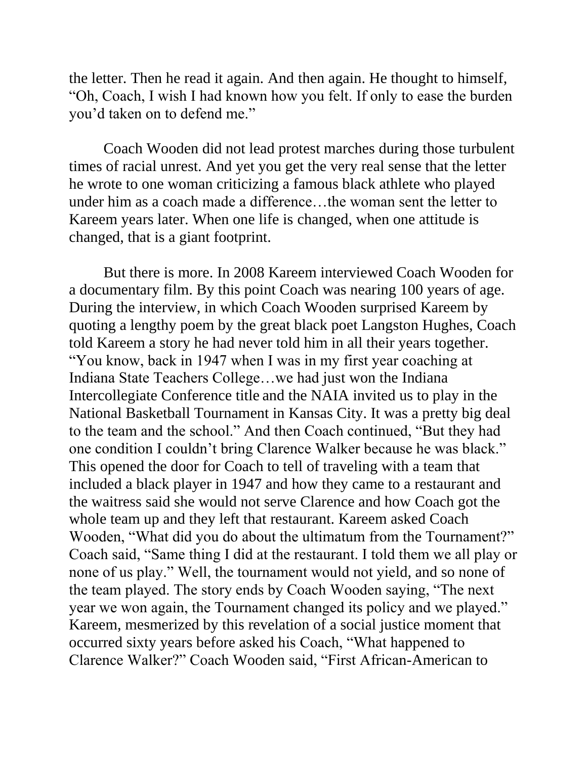the letter. Then he read it again. And then again. He thought to himself, "Oh, Coach, I wish I had known how you felt. If only to ease the burden you'd taken on to defend me."

Coach Wooden did not lead protest marches during those turbulent times of racial unrest. And yet you get the very real sense that the letter he wrote to one woman criticizing a famous black athlete who played under him as a coach made a difference…the woman sent the letter to Kareem years later. When one life is changed, when one attitude is changed, that is a giant footprint.

But there is more. In 2008 Kareem interviewed Coach Wooden for a documentary film. By this point Coach was nearing 100 years of age. During the interview, in which Coach Wooden surprised Kareem by quoting a lengthy poem by the great black poet Langston Hughes, Coach told Kareem a story he had never told him in all their years together. "You know, back in 1947 when I was in my first year coaching at Indiana State Teachers College…we had just won the Indiana Intercollegiate Conference title and the NAIA invited us to play in the National Basketball Tournament in Kansas City. It was a pretty big deal to the team and the school." And then Coach continued, "But they had one condition I couldn't bring Clarence Walker because he was black." This opened the door for Coach to tell of traveling with a team that included a black player in 1947 and how they came to a restaurant and the waitress said she would not serve Clarence and how Coach got the whole team up and they left that restaurant. Kareem asked Coach Wooden, "What did you do about the ultimatum from the Tournament?" Coach said, "Same thing I did at the restaurant. I told them we all play or none of us play." Well, the tournament would not yield, and so none of the team played. The story ends by Coach Wooden saying, "The next year we won again, the Tournament changed its policy and we played." Kareem, mesmerized by this revelation of a social justice moment that occurred sixty years before asked his Coach, "What happened to Clarence Walker?" Coach Wooden said, "First African-American to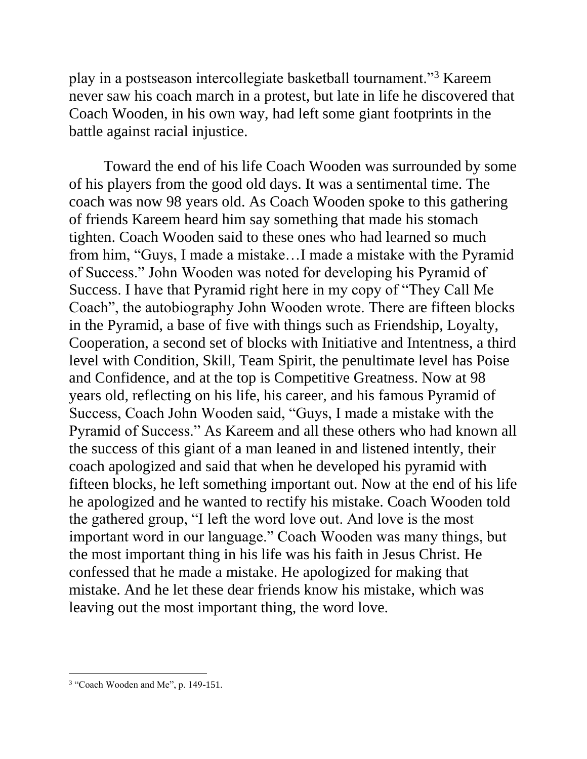play in a postseason intercollegiate basketball tournament."<sup>3</sup> Kareem never saw his coach march in a protest, but late in life he discovered that Coach Wooden, in his own way, had left some giant footprints in the battle against racial injustice.

Toward the end of his life Coach Wooden was surrounded by some of his players from the good old days. It was a sentimental time. The coach was now 98 years old. As Coach Wooden spoke to this gathering of friends Kareem heard him say something that made his stomach tighten. Coach Wooden said to these ones who had learned so much from him, "Guys, I made a mistake…I made a mistake with the Pyramid of Success." John Wooden was noted for developing his Pyramid of Success. I have that Pyramid right here in my copy of "They Call Me Coach", the autobiography John Wooden wrote. There are fifteen blocks in the Pyramid, a base of five with things such as Friendship, Loyalty, Cooperation, a second set of blocks with Initiative and Intentness, a third level with Condition, Skill, Team Spirit, the penultimate level has Poise and Confidence, and at the top is Competitive Greatness. Now at 98 years old, reflecting on his life, his career, and his famous Pyramid of Success, Coach John Wooden said, "Guys, I made a mistake with the Pyramid of Success." As Kareem and all these others who had known all the success of this giant of a man leaned in and listened intently, their coach apologized and said that when he developed his pyramid with fifteen blocks, he left something important out. Now at the end of his life he apologized and he wanted to rectify his mistake. Coach Wooden told the gathered group, "I left the word love out. And love is the most important word in our language." Coach Wooden was many things, but the most important thing in his life was his faith in Jesus Christ. He confessed that he made a mistake. He apologized for making that mistake. And he let these dear friends know his mistake, which was leaving out the most important thing, the word love.

<sup>&</sup>lt;sup>3</sup> "Coach Wooden and Me", p. 149-151.